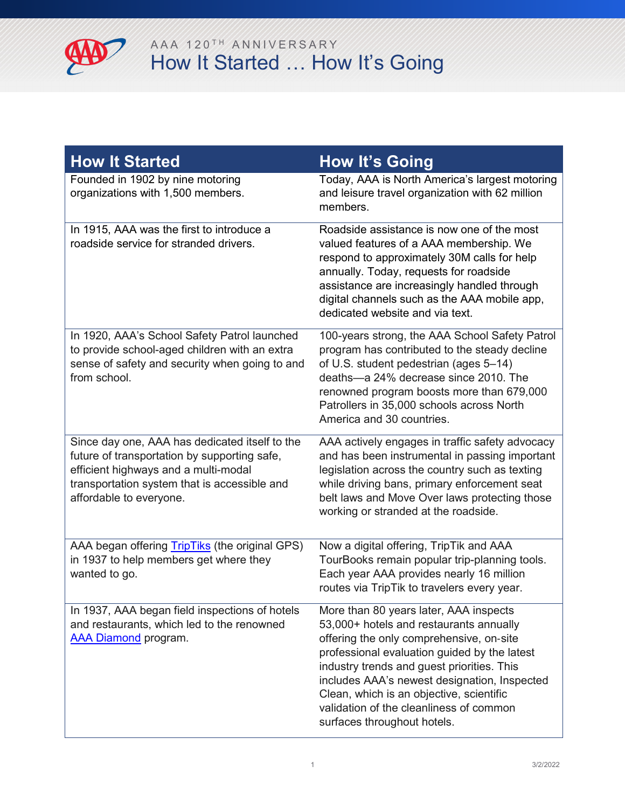

| <b>How It Started</b>                                                                                                                                                                                             | <b>How It's Going</b>                                                                                                                                                                                                                                                                                                                                                                             |
|-------------------------------------------------------------------------------------------------------------------------------------------------------------------------------------------------------------------|---------------------------------------------------------------------------------------------------------------------------------------------------------------------------------------------------------------------------------------------------------------------------------------------------------------------------------------------------------------------------------------------------|
| Founded in 1902 by nine motoring<br>organizations with 1,500 members.                                                                                                                                             | Today, AAA is North America's largest motoring<br>and leisure travel organization with 62 million<br>members.                                                                                                                                                                                                                                                                                     |
| In 1915, AAA was the first to introduce a<br>roadside service for stranded drivers.                                                                                                                               | Roadside assistance is now one of the most<br>valued features of a AAA membership. We<br>respond to approximately 30M calls for help<br>annually. Today, requests for roadside<br>assistance are increasingly handled through<br>digital channels such as the AAA mobile app,<br>dedicated website and via text.                                                                                  |
| In 1920, AAA's School Safety Patrol launched<br>to provide school-aged children with an extra<br>sense of safety and security when going to and<br>from school.                                                   | 100-years strong, the AAA School Safety Patrol<br>program has contributed to the steady decline<br>of U.S. student pedestrian (ages 5-14)<br>deaths-a 24% decrease since 2010. The<br>renowned program boosts more than 679,000<br>Patrollers in 35,000 schools across North<br>America and 30 countries.                                                                                         |
| Since day one, AAA has dedicated itself to the<br>future of transportation by supporting safe,<br>efficient highways and a multi-modal<br>transportation system that is accessible and<br>affordable to everyone. | AAA actively engages in traffic safety advocacy<br>and has been instrumental in passing important<br>legislation across the country such as texting<br>while driving bans, primary enforcement seat<br>belt laws and Move Over laws protecting those<br>working or stranded at the roadside.                                                                                                      |
| AAA began offering TripTiks (the original GPS)<br>in 1937 to help members get where they<br>wanted to go.                                                                                                         | Now a digital offering, TripTik and AAA<br>TourBooks remain popular trip-planning tools.<br>Each year AAA provides nearly 16 million<br>routes via TripTik to travelers every year.                                                                                                                                                                                                               |
| In 1937, AAA began field inspections of hotels<br>and restaurants, which led to the renowned<br><b>AAA Diamond</b> program.                                                                                       | More than 80 years later, AAA inspects<br>53,000+ hotels and restaurants annually<br>offering the only comprehensive, on-site<br>professional evaluation guided by the latest<br>industry trends and guest priorities. This<br>includes AAA's newest designation, Inspected<br>Clean, which is an objective, scientific<br>validation of the cleanliness of common<br>surfaces throughout hotels. |